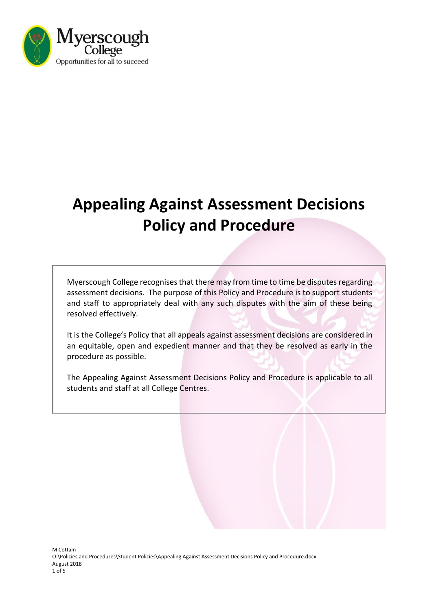

# **Appealing Against Assessment Decisions Policy and Procedure**

Myerscough College recognises that there may from time to time be disputes regarding assessment decisions. The purpose of this Policy and Procedure is to support students and staff to appropriately deal with any such disputes with the aim of these being resolved effectively.

It is the College's Policy that all appeals against assessment decisions are considered in an equitable, open and expedient manner and that they be resolved as early in the procedure as possible.

The Appealing Against Assessment Decisions Policy and Procedure is applicable to all students and staff at all College Centres.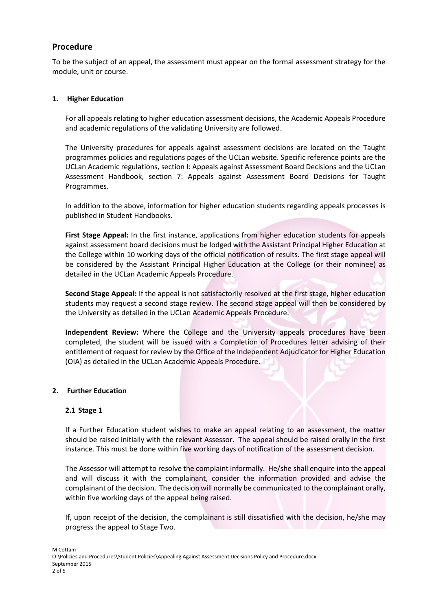## **Procedure**

To be the subject of an appeal, the assessment must appear on the formal assessment strategy for the module, unit or course.

### **1. Higher Education**

For all appeals relating to higher education assessment decisions, the Academic Appeals Procedure and academic regulations of the validating University are followed.

The University procedures for appeals against assessment decisions are located on the Taught programmes policies and regulations pages of the UCLan website. Specific reference points are the UCLan Academic regulations, section I: Appeals against Assessment Board Decisions and the UCLan Assessment Handbook, section 7: Appeals against Assessment Board Decisions for Taught Programmes.

In addition to the above, information for higher education students regarding appeals processes is published in Student Handbooks.

**First Stage Appeal:** In the first instance, applications from higher education students for appeals against assessment board decisions must be lodged with the Assistant Principal Higher Education at the College within 10 working days of the official notification of results. The first stage appeal will be considered by the Assistant Principal Higher Education at the College (or their nominee) as detailed in the UCLan Academic Appeals Procedure.

**Second Stage Appeal:** If the appeal is not satisfactorily resolved at the first stage, higher education students may request a second stage review. The second stage appeal will then be considered by the University as detailed in the UCLan Academic Appeals Procedure.

**Independent Review:** Where the College and the University appeals procedures have been completed, the student will be issued with a Completion of Procedures letter advising of their entitlement of request for review by the Office of the Independent Adjudicator for Higher Education (OIA) as detailed in the UCLan Academic Appeals Procedure.

### **2. Further Education**

### **2.1 Stage 1**

If a Further Education student wishes to make an appeal relating to an assessment, the matter should be raised initially with the relevant Assessor. The appeal should be raised orally in the first instance. This must be done within five working days of notification of the assessment decision.

The Assessor will attempt to resolve the complaint informally. He/she shall enquire into the appeal and will discuss it with the complainant, consider the information provided and advise the complainant of the decision. The decision will normally be communicated to the complainant orally, within five working days of the appeal being raised.

If, upon receipt of the decision, the complainant is still dissatisfied with the decision, he/she may progress the appeal to Stage Two.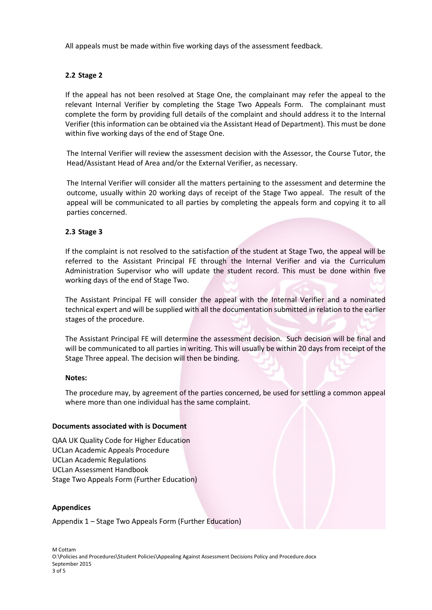All appeals must be made within five working days of the assessment feedback.

## **2.2 Stage 2**

If the appeal has not been resolved at Stage One, the complainant may refer the appeal to the relevant Internal Verifier by completing the Stage Two Appeals Form. The complainant must complete the form by providing full details of the complaint and should address it to the Internal Verifier (this information can be obtained via the Assistant Head of Department). This must be done within five working days of the end of Stage One.

The Internal Verifier will review the assessment decision with the Assessor, the Course Tutor, the Head/Assistant Head of Area and/or the External Verifier, as necessary.

The Internal Verifier will consider all the matters pertaining to the assessment and determine the outcome, usually within 20 working days of receipt of the Stage Two appeal. The result of the appeal will be communicated to all parties by completing the appeals form and copying it to all parties concerned.

### **2.3 Stage 3**

If the complaint is not resolved to the satisfaction of the student at Stage Two, the appeal will be referred to the Assistant Principal FE through the Internal Verifier and via the Curriculum Administration Supervisor who will update the student record. This must be done within five working days of the end of Stage Two.

The Assistant Principal FE will consider the appeal with the Internal Verifier and a nominated technical expert and will be supplied with all the documentation submitted in relation to the earlier stages of the procedure.

The Assistant Principal FE will determine the assessment decision. Such decision will be final and will be communicated to all parties in writing. This will usually be within 20 days from receipt of the Stage Three appeal. The decision will then be binding.

### **Notes:**

The procedure may, by agreement of the parties concerned, be used for settling a common appeal where more than one individual has the same complaint.

### **Documents associated with is Document**

QAA UK Quality Code for Higher Education UCLan Academic Appeals Procedure UCLan Academic Regulations UCLan Assessment Handbook Stage Two Appeals Form (Further Education)

### **Appendices**

Appendix 1 – Stage Two Appeals Form (Further Education)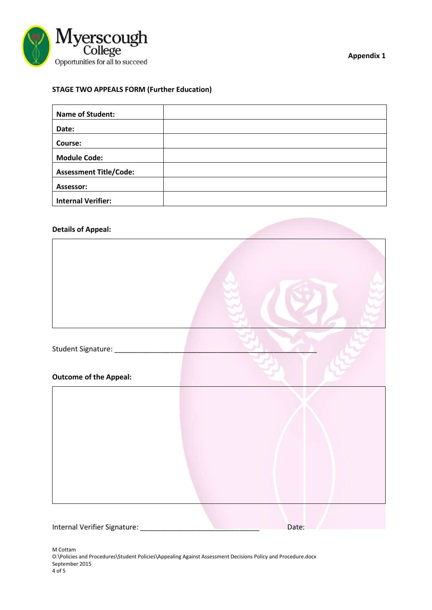

**Appendix 1**

## **STAGE TWO APPEALS FORM (Further Education)**

| <b>Name of Student:</b>       |  |
|-------------------------------|--|
| Date:                         |  |
| Course:                       |  |
| <b>Module Code:</b>           |  |
| <b>Assessment Title/Code:</b> |  |
| Assessor:                     |  |
| <b>Internal Verifier:</b>     |  |

### **Details of Appeal:**



Internal Verifier Signature: <u>Date:</u> Date:

M Cottam O:\Policies and Procedures\Student Policies\Appealing Against Assessment Decisions Policy and Procedure.docx September 2015 4 of 5